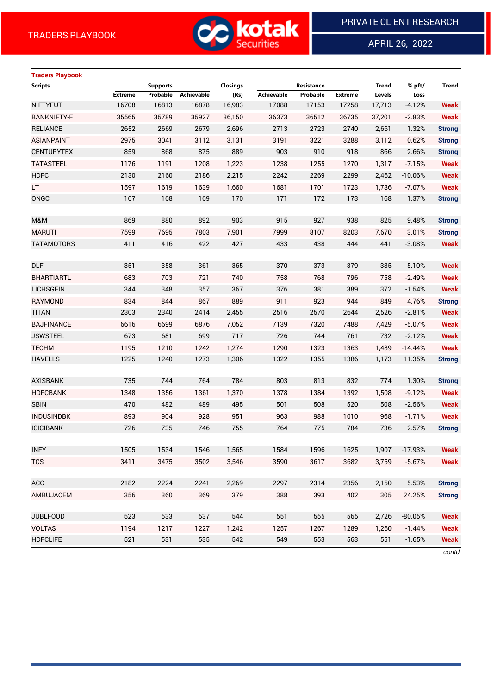

APRIL 26, 2022

 $\overline{a}$ 

# **Traders Playbook Scripts Supports Closings Resistance Trend % pft/ Trend Extreme Probable Achievable (Rs) Achievable Probable Extreme Levels Loss** NIFTYFUT 16708 16813 16878 16,983 17088 17153 17258 17,713 -4.12% **Weak** BANKNIFTY-F 35565 35789 35927 36,150 36373 36512 36735 37,201 -2.83% **Weak** RELIANCE 2652 2669 2679 2,696 2713 2723 2740 2,661 1.32% **Strong** ASIANPAINT 2975 3041 3112 3,131 3191 3221 3288 3,112 0.62% **Strong** CENTURYTEX 859 868 875 889 903 910 918 866 2.66% **Strong** TATASTEEL 1176 1191 1208 1,223 1238 1255 1270 1,317 -7.15% **Weak** HDFC 2130 2160 2186 2,215 2242 2269 2299 2,462 -10.06% **Weak** LT 1597 1619 1639 1,660 1681 1701 1723 1,786 -7.07% **Weak** ONGC 167 168 169 170 171 172 173 168 1.37% **Strong** M&M 869 880 892 903 915 927 938 825 9.48% **Strong** MARUTI 7599 7695 7803 7,901 7999 8107 8203 7,670 3.01% **Strong** TATAMOTORS 411 416 422 427 433 438 444 441 -3.08% **Weak** DLF 351 358 361 365 370 373 379 385 -5.10% **Weak** BHARTIARTL 683 703 721 740 758 768 796 758 -2.49% **Weak** LICHSGFIN 344 348 357 367 376 381 389 372 -1.54% **Weak** RAYMOND 834 844 867 889 911 923 944 849 4.76% **Strong** TITAN 2303 2340 2414 2,455 2516 2570 2644 2,526 -2.81% **Weak** BAJFINANCE 6616 6699 6876 7,052 7139 7320 7488 7,429 -5.07% **Weak** JSWSTEEL 673 681 699 717 726 744 761 732 -2.12% **Weak** TECHM 1195 1210 1242 1,274 1290 1323 1363 1,489 -14.44% **Weak** HAVELLS 1225 1240 1273 1,306 1322 1355 1386 1,173 11.35% **Strong** AXISBANK 735 744 764 784 803 813 832 774 1.30% **Strong** HDFCBANK 1348 1356 1361 1,370 1378 1384 1392 1,508 -9.12% **Weak** SBIN 470 482 489 495 501 508 520 508 -2.56% **Weak** INDUSINDBK 893 904 928 951 963 988 1010 968 -1.71% **Weak** ICICIBANK 726 735 746 755 764 775 784 736 2.57% **Strong** INFY 1505 1534 1546 1,565 1584 1596 1625 1,907 -17.93% **Weak** TCS 3411 3475 3502 3,546 3590 3617 3682 3,759 -5.67% **Weak** ACC 2182 2224 2241 2,269 2297 2314 2356 2,150 5.53% **Strong** AMBUJACEM 356 360 369 379 388 393 402 305 24.25% **Strong** JUBLFOOD 523 533 537 544 551 555 565 2,726 -80.05% **Weak** VOLTAS 1194 1217 1227 1,242 1257 1267 1289 1,260 -1.44% **Weak** HDFCLIFE 521 531 535 542 549 553 563 551 -1.65% **Weak**

*contd*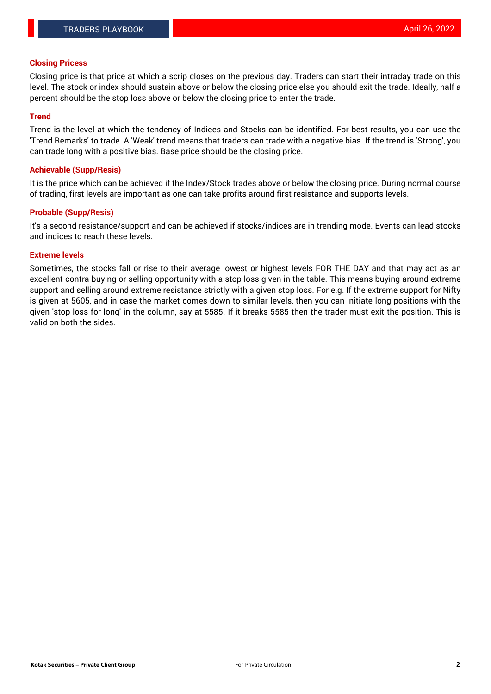#### **Closing Pricess**

Closing price is that price at which a scrip closes on the previous day. Traders can start their intraday trade on this level. The stock or index should sustain above or below the closing price else you should exit the trade. Ideally, half a percent should be the stop loss above or below the closing price to enter the trade.

## **Trend**

Trend is the level at which the tendency of Indices and Stocks can be identified. For best results, you can use the 'Trend Remarks' to trade. A 'Weak' trend means that traders can trade with a negative bias. If the trend is 'Strong', you can trade long with a positive bias. Base price should be the closing price.

#### **Achievable (Supp/Resis)**

It is the price which can be achieved if the Index/Stock trades above or below the closing price. During normal course of trading, first levels are important as one can take profits around first resistance and supports levels.

## **Probable (Supp/Resis)**

It's a second resistance/support and can be achieved if stocks/indices are in trending mode. Events can lead stocks and indices to reach these levels.

#### **Extreme levels**

Sometimes, the stocks fall or rise to their average lowest or highest levels FOR THE DAY and that may act as an excellent contra buying or selling opportunity with a stop loss given in the table. This means buying around extreme support and selling around extreme resistance strictly with a given stop loss. For e.g. If the extreme support for Nifty is given at 5605, and in case the market comes down to similar levels, then you can initiate long positions with the given 'stop loss for long' in the column, say at 5585. If it breaks 5585 then the trader must exit the position. This is valid on both the sides.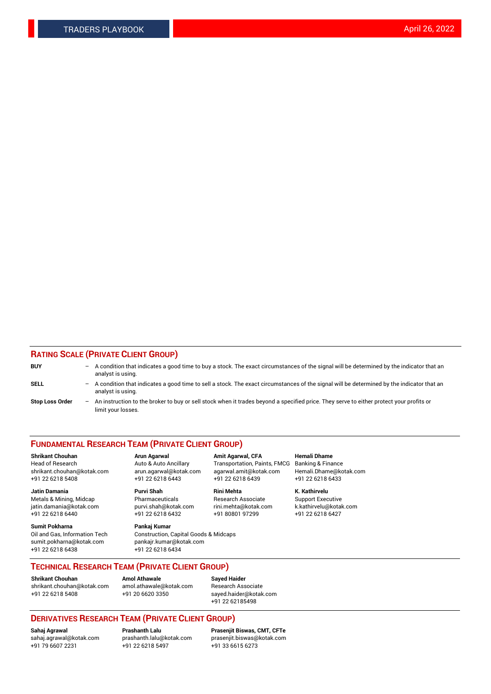## **RATING SCALE (PRIVATE CLIENT GROUP)**

| <b>BUY</b>             | -                 | A condition that indicates a good time to buy a stock. The exact circumstances of the signal will be determined by the indicator that an<br>analyst is using.  |
|------------------------|-------------------|----------------------------------------------------------------------------------------------------------------------------------------------------------------|
| SELL                   | -                 | A condition that indicates a good time to sell a stock. The exact circumstances of the signal will be determined by the indicator that an<br>analyst is using. |
| <b>Stop Loss Order</b> | $\qquad \qquad -$ | An instruction to the broker to buy or sell stock when it trades beyond a specified price. They serve to either protect your profits or<br>limit your losses.  |

#### **FUNDAMENTAL RESEARCH TEAM (PRIVATE CLIENT GROUP)**

**Shrikant Chouhan Arun Agarwal Amit Agarwal, CFA Hemali Dhame** Head of Research Auto & Auto Ancillary Transportation, Paints, FMCG Banking & Finance shrikant.chouhan@kotak.com arun.agarwal@kotak.com agarwal.amit@kotak.com Hemali.Dhame@kotak.com

**Jatin Damania Purvi Shah Rini Mehta K. Kathirvelu** Metals & Mining, Midcap **Pharmaceuticals** Research Associate Support Executive jatin.damania@kotak.com [purvi.shah@kotak.com](mailto:purvi.shah@kotak.com) rini.mehta@kotak.com [k.kathirvelu@kotak.com](mailto:k.kathirvelu@kotak.com)  $+91$  22 6218 6440  $+91$  22 6218 6432

**Sumit Pokharna Pankaj Kumar** sumit.pokharna@kotak.com pankajr.kumar@kotak.com +91 22 6218 6438 +91 22 6218 6434

Oil and Gas, Information Tech Construction, Capital Goods & Midcaps

+91 22 6218 5408 +91 22 6218 6443 +91 22 6218 6439 +91 22 6218 6433

**TECHNICAL RESEARCH TEAM (PRIVATE CLIENT GROUP)**

[shrikant.chouhan@kotak.com](mailto:shrikant.chouhan@kotak.com) [amol.athawale@kotak.com](mailto:amol.athawale@kotak.com) Research Associate +91 22 6218 5408 +91 20 6620 3350 [sayed.haider@kotak.com](mailto:sayed.haider@kotak.com)

**Shrikant Chouhan Amol Athawale Sayed Haider**

+91 22 62185498

# **DERIVATIVES RESEARCH TEAM (PRIVATE CLIENT GROUP)**

 $+91$  22 6218 5497

**Sahaj Agrawal Prashanth Lalu Prasenjit Biswas, CMT, CFTe** [sahaj.agrawal@kotak.com](mailto:sahaj.agrawal@kotak.com) [prashanth.lalu@kotak.com](mailto:prashanth.lalu@kotak.com) [prasenjit.biswas@kotak.com](mailto:prasenjit.biswas@kotak.com)